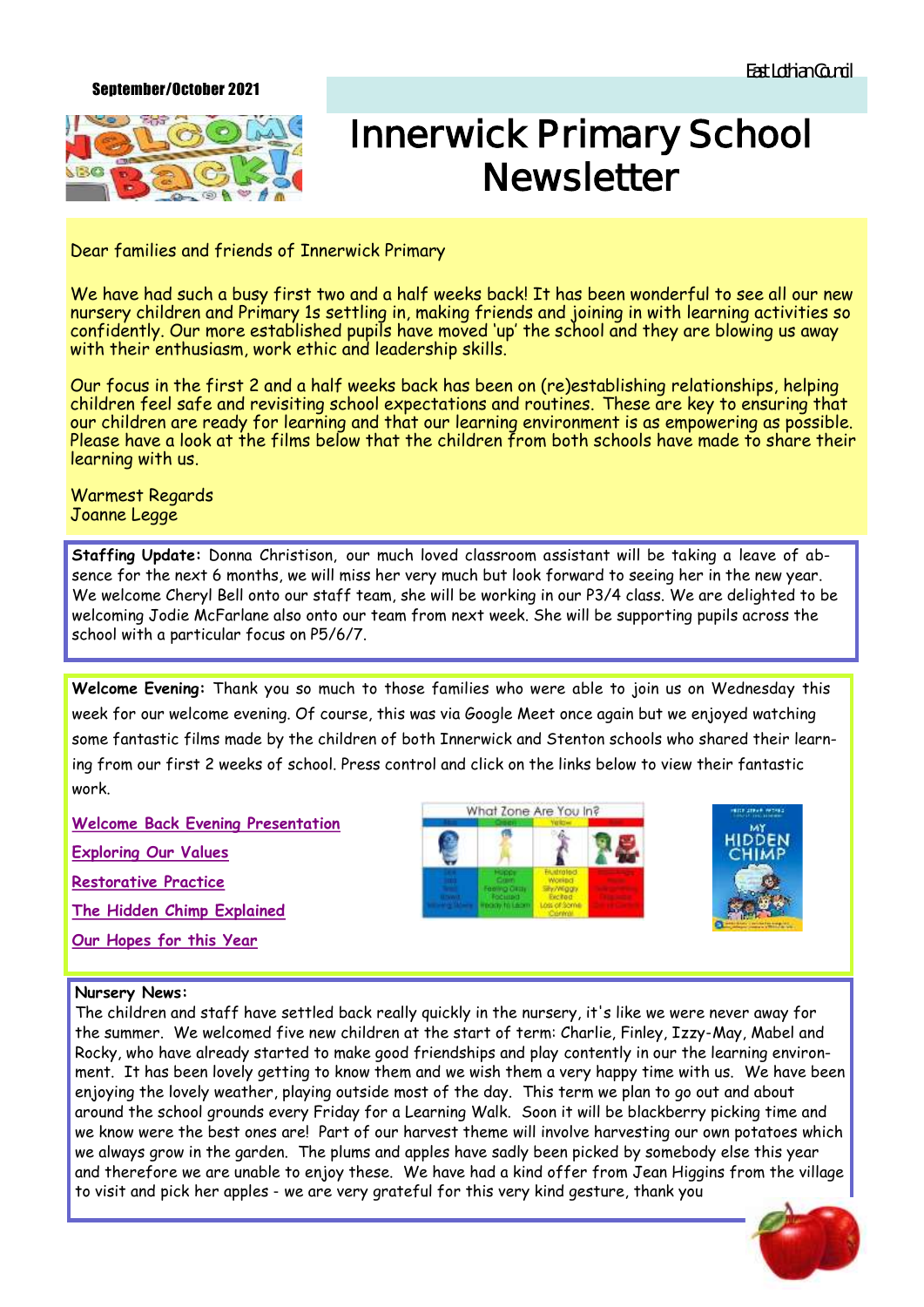## September/October 2021



## **Innerwick Primary School Newsletter**

Dear families and friends of Innerwick Primary

We have had such a busy first two and a half weeks back! It has been wonderful to see all our new nursery children and Primary 1s settling in, making friends and joining in with learning activities so confidently. Our more established pupils have moved 'up' the school and they are blowing us away with their enthusiasm, work ethic and leadership skills.

Our focus in the first 2 and a half weeks back has been on (re)establishing relationships, helping children feel safe and revisiting school expectations and routines. These are key to ensuring that our children are ready for learning and that our learning environment is as empowering as possible. Please have a look at the films below that the children from both schools have made to share their learning with us.

Warmest Regards Joanne Legge

**Staffing Update:** Donna Christison, our much loved classroom assistant will be taking a leave of absence for the next 6 months, we will miss her very much but look forward to seeing her in the new year. We welcome Cheryl Bell onto our staff team, she will be working in our P3/4 class. We are delighted to be welcoming Jodie McFarlane also onto our team from next week. She will be supporting pupils across the school with a particular focus on P5/6/7.

**Welcome Evening:** Thank you so much to those families who were able to join us on Wednesday this week for our welcome evening. Of course, this was via Google Meet once again but we enjoyed watching some fantastic films made by the children of both Innerwick and Stenton schools who shared their learning from our first 2 weeks of school. Press control and click on the links below to view their fantastic work.

**[Welcome Back Evening Presentation](https://docs.google.com/presentation/d/1PaMaHTgE_3c4hnpYTEUdHkJ5eWTCPfjCVEpr2bvmdEA/edit?usp=sharing) [Exploring Our Values](https://drive.google.com/file/d/1s4wpsD--Gbcw7igd4Uv8il7AYshzgQCh/view?usp=sharingC:/Users/hqleggj/Documents/Activ%20Software) [Restorative Practice](https://drive.google.com/file/d/1dxelb974vgmVAwg_myinz5ylmp_aHtHA/view?usp=sharingC:/Users/hqleggj/Documents/Activ%20Software) [The Hidden Chimp Explained](https://drive.google.com/file/d/199eDfPY23OCXsRgtEs3Cg9W9Wzjbr2nb/view?usp=sharing) [Our Hopes for this Year](https://drive.google.com/file/d/18gwiTxc6ULow-XAxK8pLbcNFy8_16Je7/view?usp=sharing)**





## **Nursery News:**

The children and staff have settled back really quickly in the nursery, it's like we were never away for the summer. We welcomed five new children at the start of term: Charlie, Finley, Izzy-May, Mabel and Rocky, who have already started to make good friendships and play contently in our the learning environment. It has been lovely getting to know them and we wish them a very happy time with us. We have been enjoying the lovely weather, playing outside most of the day. This term we plan to go out and about around the school grounds every Friday for a Learning Walk. Soon it will be blackberry picking time and we know were the best ones are! Part of our harvest theme will involve harvesting our own potatoes which we always grow in the garden. The plums and apples have sadly been picked by somebody else this year and therefore we are unable to enjoy these. We have had a kind offer from Jean Higgins from the village to visit and pick her apples - we are very grateful for this very kind gesture, thank you